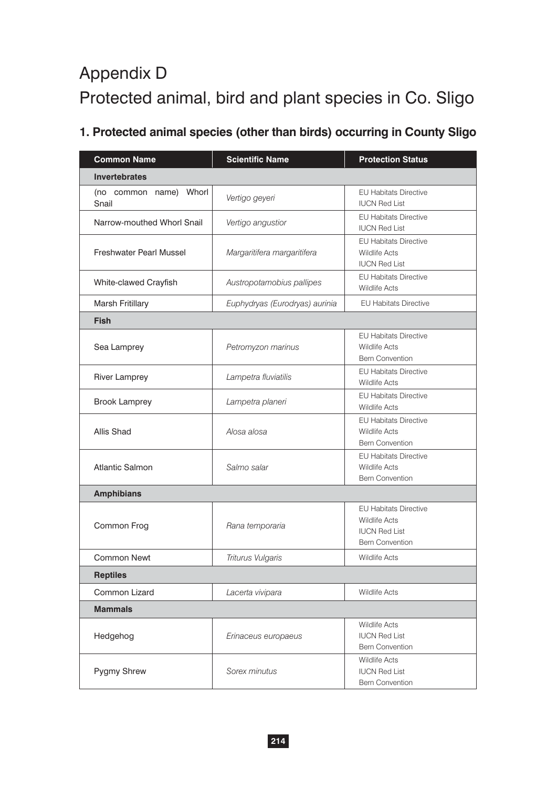# Appendix D Protected animal, bird and plant species in Co. Sligo

# **1. Protected animal species (other than birds) occurring in County Sligo**

| <b>Common Name</b>              | <b>Scientific Name</b>                                         | <b>Protection Status</b>                                                                               |  |  |  |
|---------------------------------|----------------------------------------------------------------|--------------------------------------------------------------------------------------------------------|--|--|--|
| <b>Invertebrates</b>            |                                                                |                                                                                                        |  |  |  |
| (no common name) Whorl<br>Snail | Vertigo geyeri                                                 | <b>EU Habitats Directive</b><br><b>IUCN Red List</b>                                                   |  |  |  |
| Narrow-mouthed Whorl Snail      | Vertigo angustior                                              | <b>EU Habitats Directive</b><br><b>IUCN Red List</b>                                                   |  |  |  |
| <b>Freshwater Pearl Mussel</b>  | Margaritifera margaritifera                                    | <b>EU Habitats Directive</b><br><b>Wildlife Acts</b><br><b>IUCN Red List</b>                           |  |  |  |
| White-clawed Crayfish           | Austropotamobius pallipes                                      | <b>EU Habitats Directive</b><br><b>Wildlife Acts</b>                                                   |  |  |  |
| Marsh Fritillary                | Euphydryas (Eurodryas) aurinia<br><b>EU Habitats Directive</b> |                                                                                                        |  |  |  |
| <b>Fish</b>                     |                                                                |                                                                                                        |  |  |  |
| Sea Lamprey                     | Petromyzon marinus                                             | <b>EU Habitats Directive</b><br><b>Wildlife Acts</b><br><b>Bern Convention</b>                         |  |  |  |
| River Lamprey                   | Lampetra fluviatilis                                           | <b>EU Habitats Directive</b><br><b>Wildlife Acts</b>                                                   |  |  |  |
| <b>Brook Lamprey</b>            | Lampetra planeri                                               | <b>EU Habitats Directive</b><br><b>Wildlife Acts</b>                                                   |  |  |  |
| Allis Shad                      | Alosa alosa                                                    | <b>EU Habitats Directive</b><br><b>Wildlife Acts</b><br><b>Bern Convention</b>                         |  |  |  |
| <b>Atlantic Salmon</b>          | Salmo salar                                                    | <b>EU Habitats Directive</b><br><b>Wildlife Acts</b><br><b>Bern Convention</b>                         |  |  |  |
| <b>Amphibians</b>               |                                                                |                                                                                                        |  |  |  |
| Common Frog                     | Rana temporaria                                                | <b>EU Habitats Directive</b><br><b>Wildlife Acts</b><br><b>IUCN Red List</b><br><b>Bern Convention</b> |  |  |  |
| <b>Common Newt</b>              | Triturus Vulgaris                                              | <b>Wildlife Acts</b>                                                                                   |  |  |  |
| <b>Reptiles</b>                 |                                                                |                                                                                                        |  |  |  |
| Common Lizard                   | Lacerta vivipara                                               | <b>Wildlife Acts</b>                                                                                   |  |  |  |
| <b>Mammals</b>                  |                                                                |                                                                                                        |  |  |  |
| Hedgehog                        | Erinaceus europaeus                                            | <b>Wildlife Acts</b><br><b>IUCN Red List</b><br><b>Bern Convention</b>                                 |  |  |  |
| Pygmy Shrew                     | Sorex minutus                                                  | <b>Wildlife Acts</b><br><b>IUCN Red List</b><br><b>Bern Convention</b>                                 |  |  |  |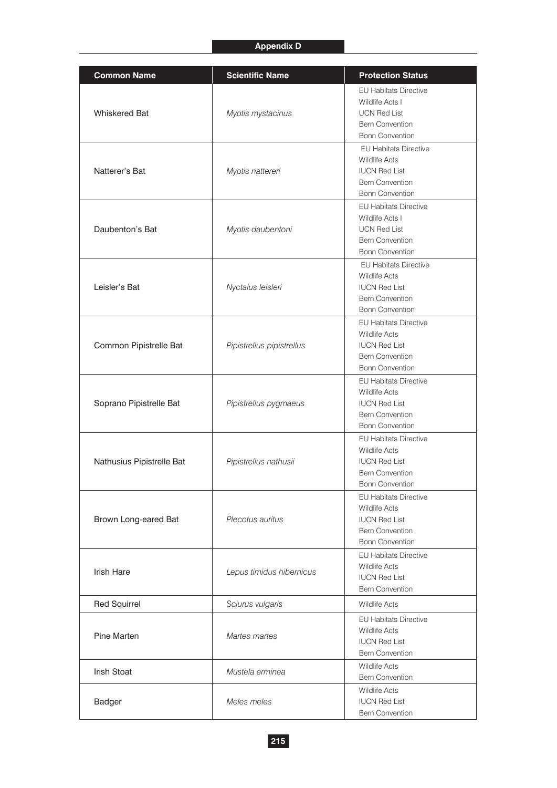# **Appendix D**

| <b>Common Name</b>           | <b>Scientific Name</b>    | <b>Protection Status</b>                                                                                                         |
|------------------------------|---------------------------|----------------------------------------------------------------------------------------------------------------------------------|
| <b>Whiskered Bat</b>         | Myotis mystacinus         | <b>EU Habitats Directive</b><br>Wildlife Acts I<br><b>UCN Red List</b><br><b>Bern Convention</b><br><b>Bonn Convention</b>       |
| Natterer's Bat               | Myotis nattereri          | <b>EU Habitats Directive</b><br><b>Wildlife Acts</b><br><b>IUCN Red List</b><br><b>Bern Convention</b><br><b>Bonn Convention</b> |
| Daubenton's Bat              | Myotis daubentoni         | <b>EU Habitats Directive</b><br>Wildlife Acts I<br><b>UCN Red List</b><br><b>Bern Convention</b><br><b>Bonn Convention</b>       |
| Leisler's Bat                | Nyctalus leisleri         | <b>EU Habitats Directive</b><br><b>Wildlife Acts</b><br><b>IUCN Red List</b><br><b>Bern Convention</b><br><b>Bonn Convention</b> |
| Common Pipistrelle Bat       | Pipistrellus pipistrellus | <b>EU Habitats Directive</b><br><b>Wildlife Acts</b><br><b>IUCN Red List</b><br><b>Bern Convention</b><br><b>Bonn Convention</b> |
| Soprano Pipistrelle Bat      | Pipistrellus pygmaeus     | <b>EU Habitats Directive</b><br><b>Wildlife Acts</b><br><b>IUCN Red List</b><br><b>Bern Convention</b><br><b>Bonn Convention</b> |
| Nathusius Pipistrelle Bat    | Pipistrellus nathusii     | <b>EU Habitats Directive</b><br><b>Wildlife Acts</b><br><b>IUCN Red List</b><br><b>Bern Convention</b><br><b>Bonn Convention</b> |
| Brown Long-eared Bat         | Plecotus auritus          | <b>EU Habitats Directive</b><br><b>Wildlife Acts</b><br><b>IUCN Red List</b><br><b>Bern Convention</b><br><b>Bonn Convention</b> |
| <b>Irish Hare</b>            | Lepus timidus hibernicus  | <b>EU Habitats Directive</b><br><b>Wildlife Acts</b><br><b>IUCN Red List</b><br><b>Bern Convention</b>                           |
| <b>Red Squirrel</b>          | Sciurus vulgaris          | <b>Wildlife Acts</b>                                                                                                             |
| <b>Pine Marten</b>           | Martes martes             | <b>EU Habitats Directive</b><br><b>Wildlife Acts</b><br><b>IUCN Red List</b><br><b>Bern Convention</b>                           |
| <b>Irish Stoat</b>           | Mustela erminea           | <b>Wildlife Acts</b><br><b>Bern Convention</b>                                                                                   |
| Meles meles<br><b>Badger</b> |                           | <b>Wildlife Acts</b><br><b>IUCN Red List</b><br><b>Bern Convention</b>                                                           |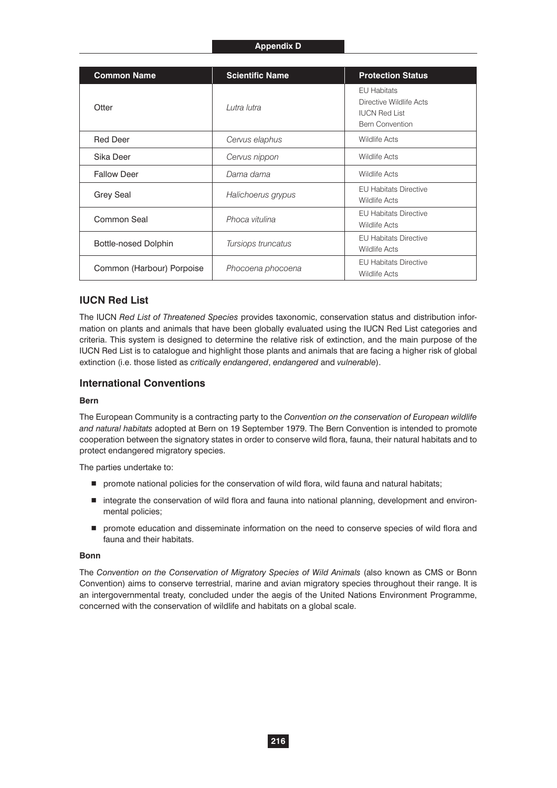#### **Appendix D**

| <b>Common Name</b>        | <b>Scientific Name</b> | <b>Protection Status</b>                                                                 |
|---------------------------|------------------------|------------------------------------------------------------------------------------------|
| Otter                     | Lutra lutra            | EU Habitats<br>Directive Wildlife Acts<br><b>IUCN Red List</b><br><b>Bern Convention</b> |
| <b>Red Deer</b>           | Cervus elaphus         | <b>Wildlife Acts</b>                                                                     |
| Sika Deer                 | Cervus nippon          | <b>Wildlife Acts</b>                                                                     |
| <b>Fallow Deer</b>        | Dama dama              | <b>Wildlife Acts</b>                                                                     |
| <b>Grey Seal</b>          | Halichoerus grypus     | <b>EU Habitats Directive</b><br><b>Wildlife Acts</b>                                     |
| Common Seal               | Phoca vitulina         | <b>EU Habitats Directive</b><br><b>Wildlife Acts</b>                                     |
| Bottle-nosed Dolphin      | Tursiops truncatus     | <b>EU Habitats Directive</b><br><b>Wildlife Acts</b>                                     |
| Common (Harbour) Porpoise | Phocoena phocoena      | <b>EU Habitats Directive</b><br><b>Wildlife Acts</b>                                     |

# **IUCN Red List**

The IUCN *Red List of Threatened Species* provides taxonomic, conservation status and distribution information on plants and animals that have been globally evaluated using the IUCN Red List categories and criteria. This system is designed to determine the relative risk of extinction, and the main purpose of the IUCN Red List is to catalogue and highlight those plants and animals that are facing a higher risk of global extinction (i.e. those listed as *critically endangered*, *endangered* and *vulnerable*).

#### **International Conventions**

#### **Bern**

The European Community is a contracting party to the *Convention on the conservation of European wildlife and natural habitats* adopted at Bern on 19 September 1979. The Bern Convention is intended to promote cooperation between the signatory states in order to conserve wild flora, fauna, their natural habitats and to protect endangered migratory species.

The parties undertake to:

- **P** promote national policies for the conservation of wild flora, wild fauna and natural habitats;
- $\blacksquare$  integrate the conservation of wild flora and fauna into national planning, development and environmental policies;
- **P** promote education and disseminate information on the need to conserve species of wild flora and fauna and their habitats.

#### **Bonn**

The *Convention on the Conservation of Migratory Species of Wild Animals* (also known as CMS or Bonn Convention) aims to conserve terrestrial, marine and avian migratory species throughout their range. It is an intergovernmental treaty, concluded under the aegis of the United Nations Environment Programme, concerned with the conservation of wildlife and habitats on a global scale.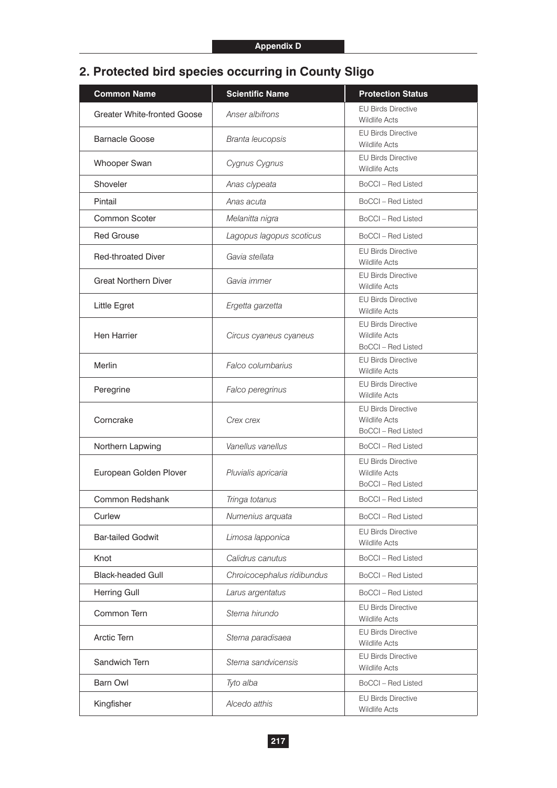# **2. Protected bird species occurring in County Sligo**

| <b>Common Name</b>                 | <b>Scientific Name</b>     | <b>Protection Status</b>                                                       |
|------------------------------------|----------------------------|--------------------------------------------------------------------------------|
| <b>Greater White-fronted Goose</b> | Anser albifrons            | <b>EU Birds Directive</b><br><b>Wildlife Acts</b>                              |
| <b>Barnacle Goose</b>              | Branta leucopsis           | <b>EU Birds Directive</b><br><b>Wildlife Acts</b>                              |
| Whooper Swan                       | Cygnus Cygnus              | <b>EU Birds Directive</b><br><b>Wildlife Acts</b>                              |
| Shoveler                           | Anas clypeata              | BoCCI - Red Listed                                                             |
| Pintail                            | Anas acuta                 | BoCCI - Red Listed                                                             |
| <b>Common Scoter</b>               | Melanitta nigra            | <b>BoCCI</b> - Red Listed                                                      |
| <b>Red Grouse</b>                  | Lagopus lagopus scoticus   | BoCCI - Red Listed                                                             |
| <b>Red-throated Diver</b>          | Gavia stellata             | <b>EU Birds Directive</b><br><b>Wildlife Acts</b>                              |
| <b>Great Northern Diver</b>        | Gavia immer                | <b>EU Birds Directive</b><br><b>Wildlife Acts</b>                              |
| Little Egret                       | Ergetta garzetta           | <b>EU Birds Directive</b><br><b>Wildlife Acts</b>                              |
| Hen Harrier                        | Circus cyaneus cyaneus     | <b>EU Birds Directive</b><br><b>Wildlife Acts</b><br>BoCCI - Red Listed        |
| Merlin                             | Falco columbarius          | <b>EU Birds Directive</b><br><b>Wildlife Acts</b>                              |
| Peregrine                          | Falco peregrinus           | <b>EU Birds Directive</b><br><b>Wildlife Acts</b>                              |
| Corncrake                          | Crex crex                  | <b>EU Birds Directive</b><br><b>Wildlife Acts</b><br><b>BoCCI</b> - Red Listed |
| Northern Lapwing                   | Vanellus vanellus          | BoCCI - Red Listed                                                             |
| European Golden Plover             | Pluvialis apricaria        | <b>EU Birds Directive</b><br><b>Wildlife Acts</b><br><b>BoCCI</b> - Red Listed |
| Common Redshank                    | Tringa totanus             | <b>BoCCI</b> - Red Listed                                                      |
| Curlew                             | Numenius arquata           | BoCCI - Red Listed                                                             |
| <b>Bar-tailed Godwit</b>           | Limosa lapponica           | <b>EU Birds Directive</b><br><b>Wildlife Acts</b>                              |
| Knot                               | Calidrus canutus           | <b>BoCCI</b> - Red Listed                                                      |
| <b>Black-headed Gull</b>           | Chroicocephalus ridibundus | <b>BoCCI</b> - Red Listed                                                      |
| Herring Gull                       | Larus argentatus           | <b>BoCCI</b> - Red Listed                                                      |
| Common Tern                        | Sterna hirundo             | <b>EU Birds Directive</b><br><b>Wildlife Acts</b>                              |
| Arctic Tern                        | Sterna paradisaea          | <b>EU Birds Directive</b><br><b>Wildlife Acts</b>                              |
| Sandwich Tern                      | Sterna sandvicensis        | <b>EU Birds Directive</b><br><b>Wildlife Acts</b>                              |
| <b>Barn Owl</b>                    | Tyto alba                  | <b>BoCCI</b> - Red Listed                                                      |
| Kingfisher                         | Alcedo atthis              | <b>EU Birds Directive</b><br>Wildlife Acts                                     |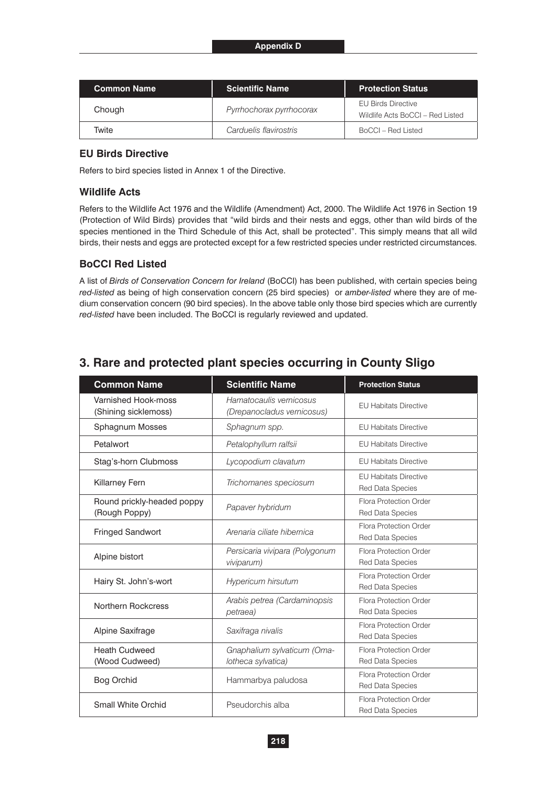| <b>Common Name</b> | <b>Scientific Name</b>   | <b>Protection Status</b>                                      |
|--------------------|--------------------------|---------------------------------------------------------------|
| Chough             | Pyrrhochorax pyrrhocorax | <b>EU Birds Directive</b><br>Wildlife Acts BoCCI - Red Listed |
| Twite              | Carduelis flavirostris   | BoCCL – Red Listed                                            |

# **EU Birds Directive**

Refers to bird species listed in Annex 1 of the Directive.

## **Wildlife Acts**

Refers to the Wildlife Act 1976 and the Wildlife (Amendment) Act, 2000. The Wildlife Act 1976 in Section 19 (Protection of Wild Birds) provides that "wild birds and their nests and eggs, other than wild birds of the species mentioned in the Third Schedule of this Act, shall be protected". This simply means that all wild birds, their nests and eggs are protected except for a few restricted species under restricted circumstances.

## **BoCCI Red Listed**

A list of *Birds of Conservation Concern for Ireland* (BoCCI) has been published, with certain species being *red-listed* as being of high conservation concern (25 bird species) or *amber-listed* where they are of medium conservation concern (90 bird species). In the above table only those bird species which are currently *red-listed* have been included. The BoCCI is regularly reviewed and updated.

|  |  |  | 3. Rare and protected plant species occurring in County Sligo |
|--|--|--|---------------------------------------------------------------|
|  |  |  |                                                               |

| <b>Common Name</b>                          | <b>Scientific Name</b>                                | <b>Protection Status</b>                                |
|---------------------------------------------|-------------------------------------------------------|---------------------------------------------------------|
| Varnished Hook-moss<br>(Shining sicklemoss) | Hamatocaulis vernicosus<br>(Drepanocladus vernicosus) | <b>EU Habitats Directive</b>                            |
| Sphagnum Mosses                             | Sphagnum spp.                                         | <b>EU Habitats Directive</b>                            |
| Petalwort                                   | Petalophyllum ralfsii                                 | <b>EU Habitats Directive</b>                            |
| Stag's-horn Clubmoss                        | Lycopodium clavatum                                   | <b>EU Habitats Directive</b>                            |
| <b>Killarney Fern</b>                       | Trichomanes speciosum                                 | <b>EU Habitats Directive</b><br><b>Red Data Species</b> |
| Round prickly-headed poppy<br>(Rough Poppy) | Papaver hybridum                                      | Flora Protection Order<br><b>Red Data Species</b>       |
| <b>Fringed Sandwort</b>                     | Arenaria ciliate hibernica                            | Flora Protection Order<br>Red Data Species              |
| Alpine bistort                              | Persicaria vivipara (Polygonum<br>viviparum)          | Flora Protection Order<br><b>Red Data Species</b>       |
| Hairy St. John's-wort                       | <b>Hypericum hirsutum</b>                             | Flora Protection Order<br><b>Red Data Species</b>       |
| Northern Rockcress                          | Arabis petrea (Cardaminopsis<br>petraea)              | Flora Protection Order<br><b>Red Data Species</b>       |
| Alpine Saxifrage                            | Saxifraga nivalis                                     | Flora Protection Order<br>Red Data Species              |
| <b>Heath Cudweed</b><br>(Wood Cudweed)      | Gnaphalium sylvaticum (Oma-<br>lotheca sylvatica)     | Flora Protection Order<br><b>Red Data Species</b>       |
| <b>Bog Orchid</b>                           | Hammarbya paludosa                                    | Flora Protection Order<br><b>Red Data Species</b>       |
| <b>Small White Orchid</b>                   | Pseudorchis alba                                      | Flora Protection Order<br><b>Red Data Species</b>       |